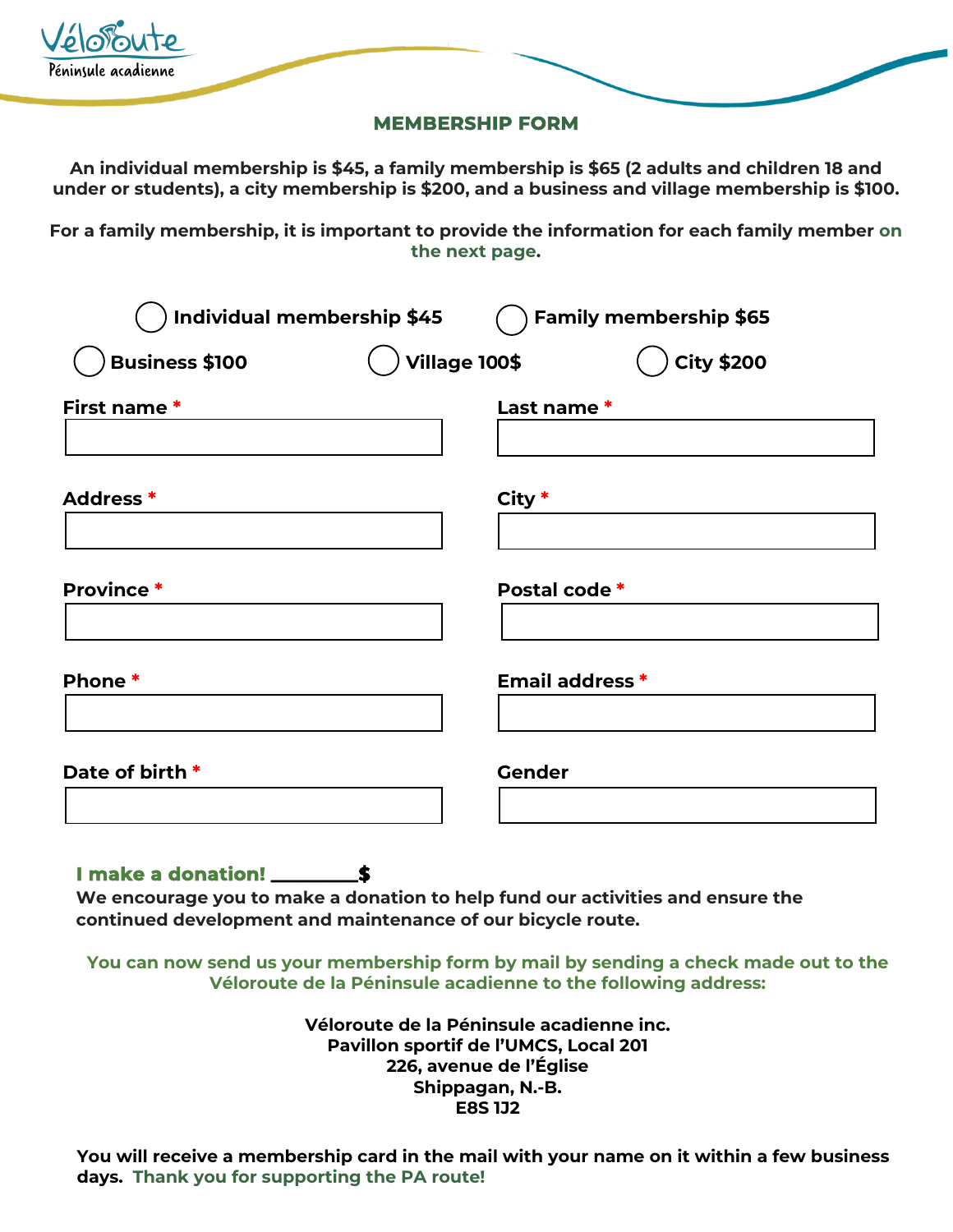| Véloroute           |  |
|---------------------|--|
| Péninsule acadienne |  |

## **MEMBERSHIP FORM**

**An individual membership is \$45, a family membership is \$65 (2 adults and children 18 and under or students), a city membership is \$200, and a business and village membership is \$100.**

**For a family membership, it is important to provide the information for each family member on the next page.**

| <b>Individual membership \$45</b> | <b>Family membership \$65</b>             |
|-----------------------------------|-------------------------------------------|
| <b>Business \$100</b>             | <b>Village 100\$</b><br><b>City \$200</b> |
| First name*                       | Last name*                                |
| Address *                         | City *                                    |
| <b>Province *</b>                 | Postal code*                              |
| Phone*                            | <b>Email address *</b>                    |
| Date of birth *                   | <b>Gender</b>                             |

## **I make a donation! \_\_\_\_\_\_\_\_\_\$**

**We encourage you to make a donation to help fund our activities and ensure the continued development and maintenance of our bicycle route.**

**You can now send us your membership form by mail by sending a check made out to the Véloroute de la Péninsule acadienne to the following address:**

> **Véloroute de la Péninsule acadienne inc. Pavillon sportif de l'UMCS, Local 201 226, avenue de l'Église Shippagan, N.-B. E8S 1J2**

**You will receive a membership card in the mail with your name on it within a few business days. Thank you for supporting the PA route!**